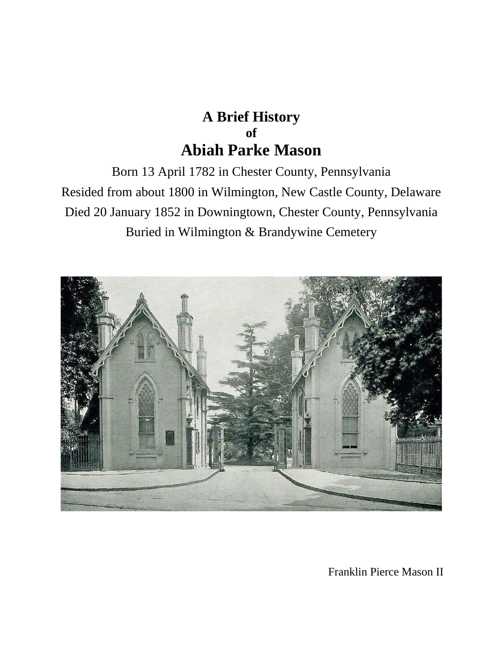## **A Brief History of Abiah Parke Mason**

Born 13 April 1782 in Chester County, Pennsylvania Resided from about 1800 in Wilmington, New Castle County, Delaware Died 20 January 1852 in Downingtown, Chester County, Pennsylvania Buried in Wilmington & Brandywine Cemetery



Franklin Pierce Mason II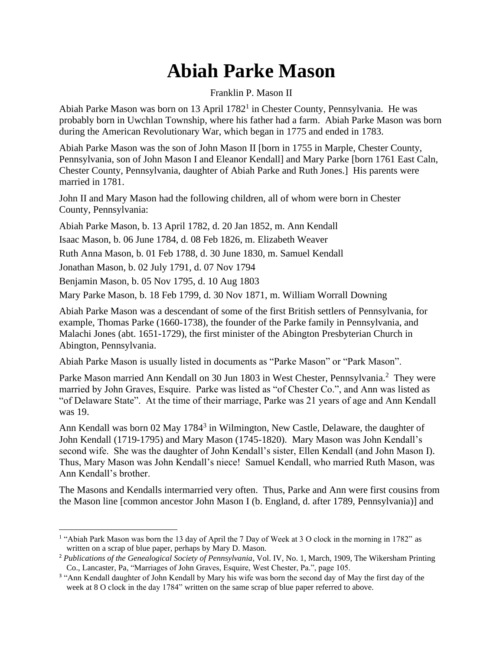## **Abiah Parke Mason**

## Franklin P. Mason II

Abiah Parke Mason was born on 13 April 1782<sup>1</sup> in Chester County, Pennsylvania. He was probably born in Uwchlan Township, where his father had a farm. Abiah Parke Mason was born during the American Revolutionary War, which began in 1775 and ended in 1783.

Abiah Parke Mason was the son of John Mason II [born in 1755 in Marple, Chester County, Pennsylvania, son of John Mason I and Eleanor Kendall] and Mary Parke [born 1761 East Caln, Chester County, Pennsylvania, daughter of Abiah Parke and Ruth Jones.] His parents were married in 1781.

John II and Mary Mason had the following children, all of whom were born in Chester County, Pennsylvania:

Abiah Parke Mason, b. 13 April 1782, d. 20 Jan 1852, m. Ann Kendall

Isaac Mason, b. 06 June 1784, d. 08 Feb 1826, m. Elizabeth Weaver

Ruth Anna Mason, b. 01 Feb 1788, d. 30 June 1830, m. Samuel Kendall

Jonathan Mason, b. 02 July 1791, d. 07 Nov 1794

Benjamin Mason, b. 05 Nov 1795, d. 10 Aug 1803

Mary Parke Mason, b. 18 Feb 1799, d. 30 Nov 1871, m. William Worrall Downing

Abiah Parke Mason was a descendant of some of the first British settlers of Pennsylvania, for example, Thomas Parke (1660-1738), the founder of the Parke family in Pennsylvania, and Malachi Jones (abt. 1651-1729), the first minister of the Abington Presbyterian Church in Abington, Pennsylvania.

Abiah Parke Mason is usually listed in documents as "Parke Mason" or "Park Mason".

Parke Mason married Ann Kendall on 30 Jun 1803 in West Chester, Pennsylvania.<sup>2</sup> They were married by John Graves, Esquire. Parke was listed as "of Chester Co.", and Ann was listed as "of Delaware State". At the time of their marriage, Parke was 21 years of age and Ann Kendall was 19.

Ann Kendall was born 02 May 1784<sup>3</sup> in Wilmington, New Castle, Delaware, the daughter of John Kendall (1719-1795) and Mary Mason (1745-1820). Mary Mason was John Kendall's second wife. She was the daughter of John Kendall's sister, Ellen Kendall (and John Mason I). Thus, Mary Mason was John Kendall's niece! Samuel Kendall, who married Ruth Mason, was Ann Kendall's brother.

The Masons and Kendalls intermarried very often. Thus, Parke and Ann were first cousins from the Mason line [common ancestor John Mason I (b. England, d. after 1789, Pennsylvania)] and

<sup>&</sup>lt;sup>1</sup> "Abiah Park Mason was born the 13 day of April the 7 Day of Week at 3 O clock in the morning in 1782" as written on a scrap of blue paper, perhaps by Mary D. Mason.

<sup>2</sup> *Publications of the Genealogical Society of Pennsylvania*, Vol. IV, No. 1, March, 1909, The Wikersham Printing Co., Lancaster, Pa, "Marriages of John Graves, Esquire, West Chester, Pa.", page 105.

<sup>&</sup>lt;sup>3</sup> "Ann Kendall daughter of John Kendall by Mary his wife was born the second day of May the first day of the week at 8 O clock in the day 1784" written on the same scrap of blue paper referred to above.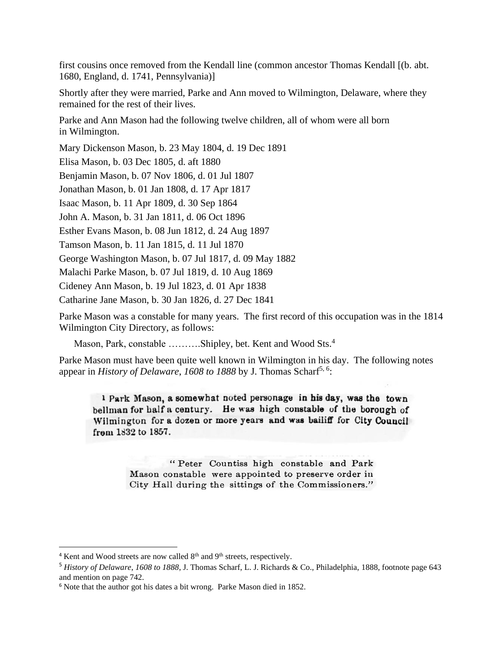first cousins once removed from the Kendall line (common ancestor Thomas Kendall [(b. abt. 1680, England, d. 1741, Pennsylvania)]

Shortly after they were married, Parke and Ann moved to Wilmington, Delaware, where they remained for the rest of their lives.

Parke and Ann Mason had the following twelve children, all of whom were all born in Wilmington.

Mary Dickenson Mason, b. 23 May 1804, d. 19 Dec 1891

Elisa Mason, b. 03 Dec 1805, d. aft 1880

Benjamin Mason, b. 07 Nov 1806, d. 01 Jul 1807

Jonathan Mason, b. 01 Jan 1808, d. 17 Apr 1817

Isaac Mason, b. 11 Apr 1809, d. 30 Sep 1864

John A. Mason, b. 31 Jan 1811, d. 06 Oct 1896

Esther Evans Mason, b. 08 Jun 1812, d. 24 Aug 1897

Tamson Mason, b. 11 Jan 1815, d. 11 Jul 1870

George Washington Mason, b. 07 Jul 1817, d. 09 May 1882

Malachi Parke Mason, b. 07 Jul 1819, d. 10 Aug 1869

Cideney Ann Mason, b. 19 Jul 1823, d. 01 Apr 1838

Catharine Jane Mason, b. 30 Jan 1826, d. 27 Dec 1841

Parke Mason was a constable for many years. The first record of this occupation was in the 1814 Wilmington City Directory, as follows:

Mason, Park, constable ……….Shipley, bet. Kent and Wood Sts.<sup>4</sup>

Parke Mason must have been quite well known in Wilmington in his day. The following notes appear in *History of Delaware*, 1608 to 1888 by J. Thomas Scharf<sup>5, 6</sup>:

1 Park Mason, a somewhat noted personage in his day, was the town bellman for half a century. He was high constable of the borough of Wilmington for a dozen or more years and was bailiff for City Council from 1832 to 1857.

> "Peter Countiss high constable and Park Mason constable were appointed to preserve order in City Hall during the sittings of the Commissioners."

 $4$  Kent and Wood streets are now called  $8<sup>th</sup>$  and  $9<sup>th</sup>$  streets, respectively.

<sup>5</sup> *History of Delaware*, *1608 to 1888*, J. Thomas Scharf, L. J. Richards & Co., Philadelphia, 1888, footnote page 643 and mention on page 742.

<sup>6</sup> Note that the author got his dates a bit wrong. Parke Mason died in 1852.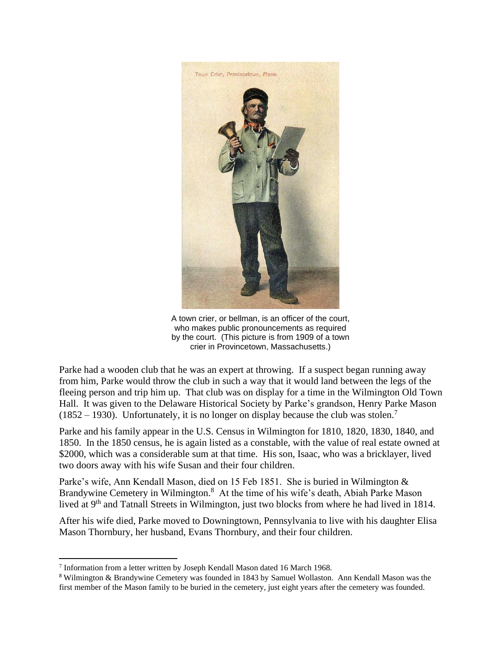

A town crier, or bellman, is an officer of the court, who makes public pronouncements as required by the court. (This picture is from 1909 of a town crier in Provincetown, Massachusetts.)

Parke had a wooden club that he was an expert at throwing. If a suspect began running away from him, Parke would throw the club in such a way that it would land between the legs of the fleeing person and trip him up. That club was on display for a time in the Wilmington Old Town Hall. It was given to the Delaware Historical Society by Parke's grandson, Henry Parke Mason  $(1852 – 1930)$ . Unfortunately, it is no longer on display because the club was stolen.<sup>7</sup>

Parke and his family appear in the U.S. Census in Wilmington for 1810, 1820, 1830, 1840, and 1850. In the 1850 census, he is again listed as a constable, with the value of real estate owned at \$2000, which was a considerable sum at that time. His son, Isaac, who was a bricklayer, lived two doors away with his wife Susan and their four children.

Parke's wife, Ann Kendall Mason, died on 15 Feb 1851. She is buried in Wilmington & Brandywine Cemetery in Wilmington.<sup>8</sup> At the time of his wife's death, Abiah Parke Mason lived at 9<sup>th</sup> and Tatnall Streets in Wilmington, just two blocks from where he had lived in 1814.

After his wife died, Parke moved to Downingtown, Pennsylvania to live with his daughter Elisa Mason Thornbury, her husband, Evans Thornbury, and their four children.

<sup>&</sup>lt;sup>7</sup> Information from a letter written by Joseph Kendall Mason dated 16 March 1968.

<sup>8</sup> Wilmington & Brandywine Cemetery was founded in 1843 by Samuel Wollaston. Ann Kendall Mason was the first member of the Mason family to be buried in the cemetery, just eight years after the cemetery was founded.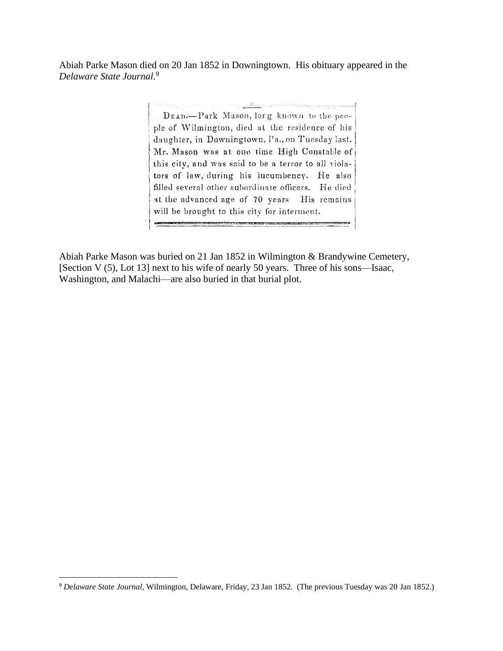Abiah Parke Mason died on 20 Jan 1852 in Downingtown. His obituary appeared in the *Delaware State Journal*. 9

> and a company of the second and all the theory DEAD-Park Mason, long known to the people of Wilmington, died at the residence of his daughter, in Downingtown, Pa., on Tuesday last. Mr. Mason was at one time High Constable of this city, and was said to be a terror to all violators of law, during his iucumbency. He also filled several other subordinate officers. He died at the advanced age of 70 years His remains will be brought to this city for interment.

Abiah Parke Mason was buried on 21 Jan 1852 in Wilmington & Brandywine Cemetery, [Section V (5), Lot 13] next to his wife of nearly 50 years. Three of his sons—Isaac, Washington, and Malachi—are also buried in that burial plot.

<sup>9</sup> *Delaware State Journal*, Wilmington, Delaware, Friday, 23 Jan 1852. (The previous Tuesday was 20 Jan 1852.)